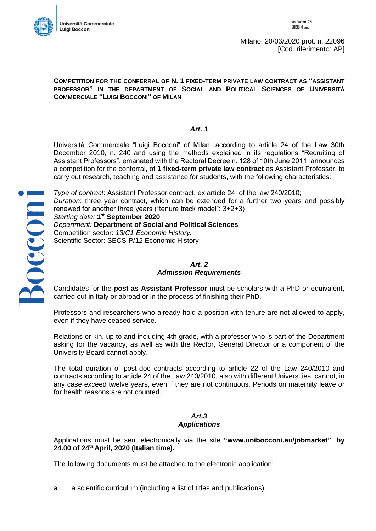

Bocconi

Milano, 20/03/2020 prot. n. 22096 [Cod. riferimento: AP]

#### **COMPETITION FOR THE CONFERRAL OF N. 1 FIXED-TERM PRIVATE LAW CONTRACT AS "ASSISTANT PROFESSOR" IN THE DEPARTMENT OF SOCIAL AND POLITICAL SCIENCES OF UNIVERSITÀ COMMERCIALE "LUIGI BOCCONI" OF MILAN**

### *Art. 1*

Università Commerciale "Luigi Bocconi" of Milan, according to article 24 of the Law 30th December 2010, n. 240 and using the methods explained in its regulations "Recruiting of Assistant Professors", emanated with the Rectoral Decree n. 128 of 10th June 2011, announces a competition for the conferral, of **1 fixed-term private law contract** as Assistant Professor, to carry out research, teaching and assistance for students, with the following characteristics:

*Type of contract*: Assistant Professor contract, ex article 24, of the law 240/2010; *Duration*: three year contract, which can be extended for a further two years and possibly renewed for another three years ("tenure track model": 3+2+3) *Starting date:* **1 st September 2020** *Department:* **Department of Social and Political Sciences** Competition sector: *13/C1 Economic History.* Scientific Sector: SECS-P/12 Economic History

# *Art. 2 Admission Requirements*

Candidates for the **post as Assistant Professor** must be scholars with a PhD or equivalent, carried out in Italy or abroad or in the process of finishing their PhD.

Professors and researchers who already hold a position with tenure are not allowed to apply, even if they have ceased service.

Relations or kin, up to and including 4th grade, with a professor who is part of the Department asking for the vacancy, as well as with the Rector, General Director or a component of the University Board cannot apply.

The total duration of post-doc contracts according to article 22 of the Law 240/2010 and contracts according to article 24 of the Law 240/2010, also with different Universities, cannot, in any case exceed twelve years, even if they are not continuous. Periods on maternity leave or for health reasons are not counted.

### *Art.3 Applications*

Applications must be sent electronically via the site **"www.unibocconi.eu/jobmarket"**, **by 24.00 of 24th April, 2020 (Italian time)***.*

The following documents must be attached to the electronic application:

a. a scientific curriculum (including a list of titles and publications);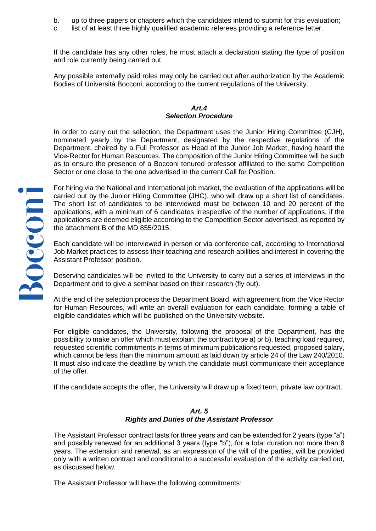- b. up to three papers or chapters which the candidates intend to submit for this evaluation;
- c. list of at least three highly qualified academic referees providing a reference letter.

If the candidate has any other roles, he must attach a declaration stating the type of position and role currently being carried out.

Any possible externally paid roles may only be carried out after authorization by the Academic Bodies of Università Bocconi, according to the current regulations of the University.

#### *Art.4 Selection Procedure*

In order to carry out the selection, the Department uses the Junior Hiring Committee (CJH), nominated yearly by the Department, designated by the respective regulations of the Department, chaired by a Full Professor as Head of the Junior Job Market, having heard the Vice-Rector for Human Resources. The composition of the Junior Hiring Committee will be such as to ensure the presence of a Bocconi tenured professor affiliated to the same Competition Sector or one close to the one advertised in the current Call for Position.

For hiring via the National and International job market, the evaluation of the applications will be carried out by the Junior Hiring Committee (JHC), who will draw up a short list of candidates. The short list of candidates to be interviewed must be between 10 and 20 percent of the applications, with a minimum of 6 candidates irrespective of the number of applications, if the applications are deemed eligible according to the Competition Sector advertised, as reported by the attachment B of the MD 855/2015.

Each candidate will be interviewed in person or via conference call, according to International Job Market practices to assess their teaching and research abilities and interest in covering the Assistant Professor position.

Deserving candidates will be invited to the University to carry out a series of interviews in the Department and to give a seminar based on their research (fly out).

At the end of the selection process the Department Board, with agreement from the Vice Rector for Human Resources, will write an overall evaluation for each candidate, forming a table of eligible candidates which will be published on the University website.

For eligible candidates, the University, following the proposal of the Department, has the possibility to make an offer which must explain: the contract type a) or b), teaching load required, requested scientific commitments in terms of minimum publications requested, proposed salary, which cannot be less than the minimum amount as laid down by article 24 of the Law 240/2010. It must also indicate the deadline by which the candidate must communicate their acceptance of the offer.

If the candidate accepts the offer, the University will draw up a fixed term, private law contract.

# *Art. 5 Rights and Duties of the Assistant Professor*

The Assistant Professor contract lasts for three years and can be extended for 2 years (type "a") and possibly renewed for an additional 3 years (type "b"), for a total duration not more than 8 years. The extension and renewal, as an expression of the will of the parties, will be provided only with a written contract and conditional to a successful evaluation of the activity carried out, as discussed below.

The Assistant Professor will have the following commitments: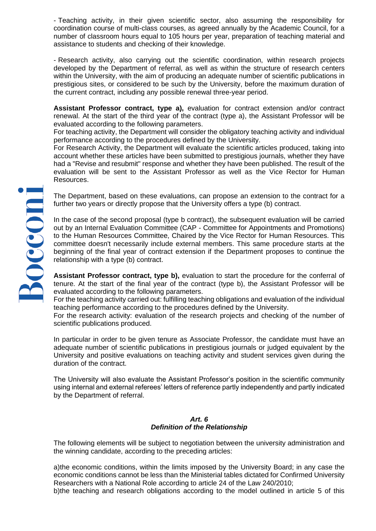- Teaching activity, in their given scientific sector, also assuming the responsibility for coordination course of multi-class courses, as agreed annually by the Academic Council, for a number of classroom hours equal to 105 hours per year, preparation of teaching material and assistance to students and checking of their knowledge.

- Research activity, also carrying out the scientific coordination, within research projects developed by the Department of referral, as well as within the structure of research centers within the University, with the aim of producing an adequate number of scientific publications in prestigious sites, or considered to be such by the University, before the maximum duration of the current contract, including any possible renewal three-year period.

**Assistant Professor contract, type a),** evaluation for contract extension and/or contract renewal. At the start of the third year of the contract (type a), the Assistant Professor will be evaluated according to the following parameters.

For teaching activity, the Department will consider the obligatory teaching activity and individual performance according to the procedures defined by the University.

For Research Activity, the Department will evaluate the scientific articles produced, taking into account whether these articles have been submitted to prestigious journals, whether they have had a "Revise and resubmit" response and whether they have been published. The result of the evaluation will be sent to the Assistant Professor as well as the Vice Rector for Human Resources.

The Department, based on these evaluations, can propose an extension to the contract for a further two years or directly propose that the University offers a type (b) contract.

In the case of the second proposal (type b contract), the subsequent evaluation will be carried out by an Internal Evaluation Committee (CAP - Committee for Appointments and Promotions) to the Human Resources Committee, Chaired by the Vice Rector for Human Resources. This committee doesn't necessarily include external members. This same procedure starts at the beginning of the final year of contract extension if the Department proposes to continue the relationship with a type (b) contract.

**Assistant Professor contract, type b),** evaluation to start the procedure for the conferral of tenure. At the start of the final year of the contract (type b), the Assistant Professor will be evaluated according to the following parameters.

For the teaching activity carried out: fulfilling teaching obligations and evaluation of the individual teaching performance according to the procedures defined by the University.

For the research activity: evaluation of the research projects and checking of the number of scientific publications produced.

In particular in order to be given tenure as Associate Professor, the candidate must have an adequate number of scientific publications in prestigious journals or judged equivalent by the University and positive evaluations on teaching activity and student services given during the duration of the contract.

The University will also evaluate the Assistant Professor's position in the scientific community using internal and external referees' letters of reference partly independently and partly indicated by the Department of referral.

### *Art. 6 Definition of the Relationship*

The following elements will be subject to negotiation between the university administration and the winning candidate, according to the preceding articles:

a)the economic conditions, within the limits imposed by the University Board; in any case the economic conditions cannot be less than the Ministerial tables dictated for Confirmed University Researchers with a National Role according to article 24 of the Law 240/2010;

b)the teaching and research obligations according to the model outlined in article 5 of this